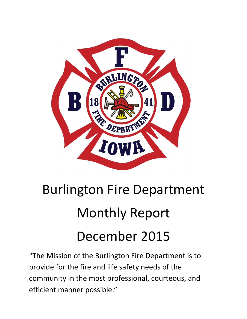

# Burlington Fire Department Monthly Report December 2015

"The Mission of the Burlington Fire Department is to provide for the fire and life safety needs of the community in the most professional, courteous, and efficient manner possible."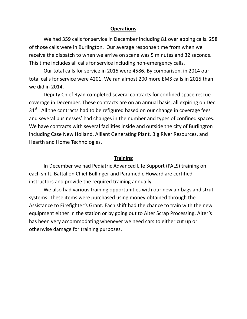#### **Operations**

We had 359 calls for service in December including 81 overlapping calls. 258 of those calls were in Burlington. Our average response time from when we receive the dispatch to when we arrive on scene was 5 minutes and 32 seconds. This time includes all calls for service including non-emergency calls.

Our total calls for service in 2015 were 4586. By comparison, in 2014 our total calls for service were 4201. We ran almost 200 more EMS calls in 2015 than we did in 2014.

Deputy Chief Ryan completed several contracts for confined space rescue coverage in December. These contracts are on an annual basis, all expiring on Dec.  $31<sup>st</sup>$ . All the contracts had to be refigured based on our change in coverage fees and several businesses' had changes in the number and types of confined spaces. We have contracts with several facilities inside and outside the city of Burlington including Case New Holland, Alliant Generating Plant, Big River Resources, and Hearth and Home Technologies.

#### **Training**

In December we had Pediatric Advanced Life Support (PALS) training on each shift. Battalion Chief Bullinger and Paramedic Howard are certified instructors and provide the required training annually.

We also had various training opportunities with our new air bags and strut systems. These items were purchased using money obtained through the Assistance to Firefighter's Grant. Each shift had the chance to train with the new equipment either in the station or by going out to Alter Scrap Processing. Alter's has been very accommodating whenever we need cars to either cut up or otherwise damage for training purposes.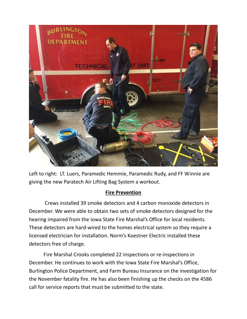

Left to right: LT. Luers, Paramedic Hemmie, Paramedic Rudy, and FF Winnie are giving the new Paratech Air Lifting Bag System a workout.

### **Fire Prevention**

 Crews installed 39 smoke detectors and 4 carbon monoxide detectors in December. We were able to obtain two sets of smoke detectors designed for the hearing impaired from the Iowa State Fire Marshal's Office for local residents. These detectors are hard-wired to the homes electrical system so they require a licensed electrician for installation. Norm's Koestner Electric installed these detectors free of charge.

Fire Marshal Crooks completed 22 inspections or re-inspections in December. He continues to work with the Iowa State Fire Marshal's Office, Burlington Police Department, and Farm Bureau Insurance on the investigation for the November fatality fire. He has also been finishing up the checks on the 4586 call for service reports that must be submitted to the state.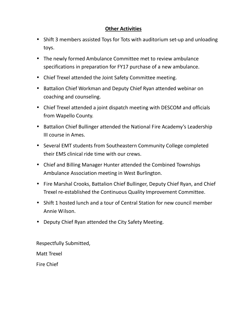## **Other Activities**

- Shift 3 members assisted Toys for Tots with auditorium set-up and unloading toys.
- The newly formed Ambulance Committee met to review ambulance specifications in preparation for FY17 purchase of a new ambulance.
- Chief Trexel attended the Joint Safety Committee meeting.
- Battalion Chief Workman and Deputy Chief Ryan attended webinar on coaching and counseling.
- Chief Trexel attended a joint dispatch meeting with DESCOM and officials from Wapello County.
- Battalion Chief Bullinger attended the National Fire Academy's Leadership III course in Ames.
- Several EMT students from Southeastern Community College completed their EMS clinical ride time with our crews.
- Chief and Billing Manager Hunter attended the Combined Townships Ambulance Association meeting in West Burlington.
- Fire Marshal Crooks, Battalion Chief Bullinger, Deputy Chief Ryan, and Chief Trexel re-established the Continuous Quality Improvement Committee.
- Shift 1 hosted lunch and a tour of Central Station for new council member Annie Wilson.
- Deputy Chief Ryan attended the City Safety Meeting.

Respectfully Submitted,

Matt Trexel

Fire Chief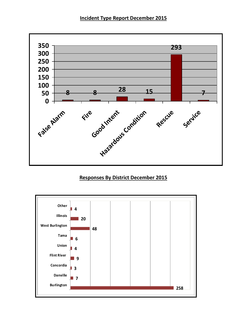### **Incident Type Report December 2015**



## **Responses By District December 2015**

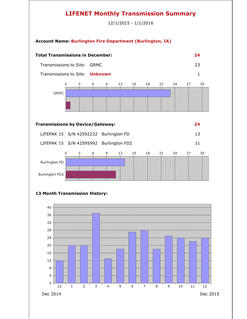# **LIFENET Monthly Transmission Summary**

12/1/2015 - 1/1/2016

#### **Account Name: Burlington Fire Department (Burlington, IA)**



Dec 2014 Dec 2015

12

 $\mathbf 1$ 

3

 $\overline{2}$ 

 $\overline{4}$ 

5

6

7

8

9

10

11

8 4 0

12